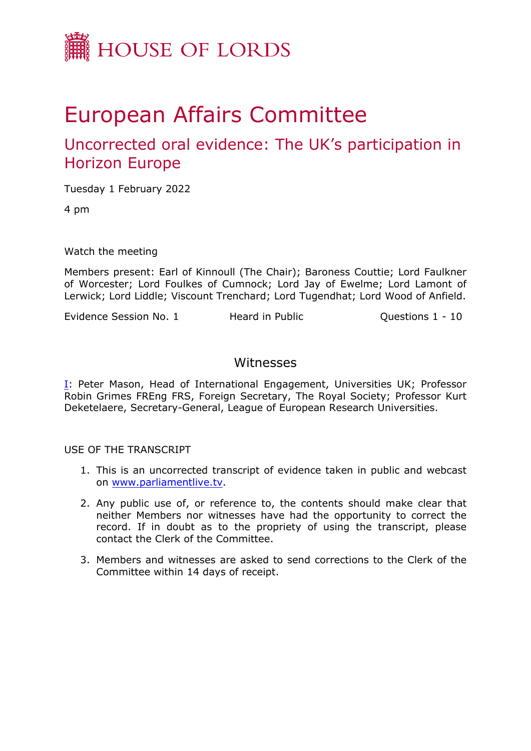

# European Affairs Committee

# Uncorrected oral evidence: The UK's participation in Horizon Europe

Tuesday 1 February 2022

4 pm

Watch the meeting

Members present: Earl of Kinnoull (The Chair); Baroness Couttie; Lord Faulkner of Worcester; Lord Foulkes of Cumnock; Lord Jay of Ewelme; Lord Lamont of Lerwick; Lord Liddle; Viscount Trenchard; Lord Tugendhat; Lord Wood of Anfield.

Evidence Session No. 1 Heard in Public Cuestions 1 - 10

# Witnesses

[I:](#page-1-0) Peter Mason, Head of International Engagement, Universities UK; Professor Robin Grimes FREng FRS, Foreign Secretary, The Royal Society; Professor Kurt Deketelaere, Secretary-General, League of European Research Universities.

USE OF THE TRANSCRIPT

- 1. This is an uncorrected transcript of evidence taken in public and webcast on [www.parliamentlive.tv.](http://www.parliamentlive.tv/)
- 2. Any public use of, or reference to, the contents should make clear that neither Members nor witnesses have had the opportunity to correct the record. If in doubt as to the propriety of using the transcript, please contact the Clerk of the Committee.
- 3. Members and witnesses are asked to send corrections to the Clerk of the Committee within 14 days of receipt.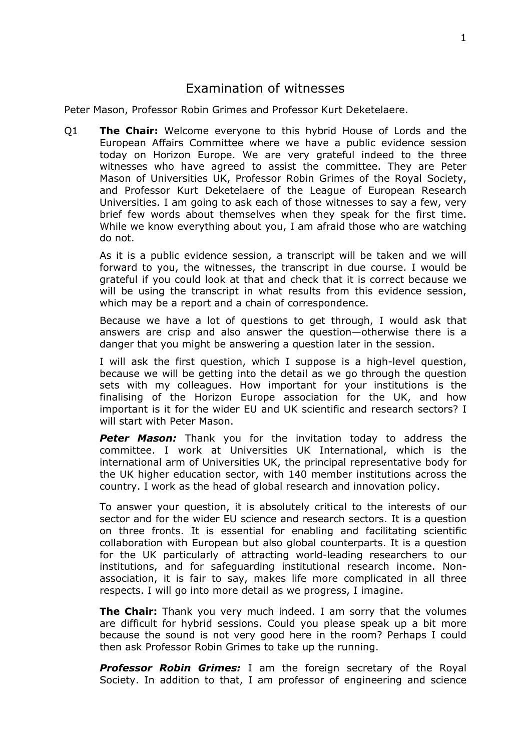# <span id="page-1-0"></span>Examination of witnesses

Peter Mason, Professor Robin Grimes and Professor Kurt Deketelaere.

Q1 **The Chair:** Welcome everyone to this hybrid House of Lords and the European Affairs Committee where we have a public evidence session today on Horizon Europe. We are very grateful indeed to the three witnesses who have agreed to assist the committee. They are Peter Mason of Universities UK, Professor Robin Grimes of the Royal Society, and Professor Kurt Deketelaere of the League of European Research Universities. I am going to ask each of those witnesses to say a few, very brief few words about themselves when they speak for the first time. While we know everything about you, I am afraid those who are watching do not.

As it is a public evidence session, a transcript will be taken and we will forward to you, the witnesses, the transcript in due course. I would be grateful if you could look at that and check that it is correct because we will be using the transcript in what results from this evidence session, which may be a report and a chain of correspondence.

Because we have a lot of questions to get through, I would ask that answers are crisp and also answer the question—otherwise there is a danger that you might be answering a question later in the session.

I will ask the first question, which I suppose is a high-level question, because we will be getting into the detail as we go through the question sets with my colleagues. How important for your institutions is the finalising of the Horizon Europe association for the UK, and how important is it for the wider EU and UK scientific and research sectors? I will start with Peter Mason.

**Peter Mason:** Thank you for the invitation today to address the committee. I work at Universities UK International, which is the international arm of Universities UK, the principal representative body for the UK higher education sector, with 140 member institutions across the country. I work as the head of global research and innovation policy.

To answer your question, it is absolutely critical to the interests of our sector and for the wider EU science and research sectors. It is a question on three fronts. It is essential for enabling and facilitating scientific collaboration with European but also global counterparts. It is a question for the UK particularly of attracting world-leading researchers to our institutions, and for safeguarding institutional research income. Nonassociation, it is fair to say, makes life more complicated in all three respects. I will go into more detail as we progress, I imagine.

**The Chair:** Thank you very much indeed. I am sorry that the volumes are difficult for hybrid sessions. Could you please speak up a bit more because the sound is not very good here in the room? Perhaps I could then ask Professor Robin Grimes to take up the running.

*Professor Robin Grimes:* I am the foreign secretary of the Royal Society. In addition to that, I am professor of engineering and science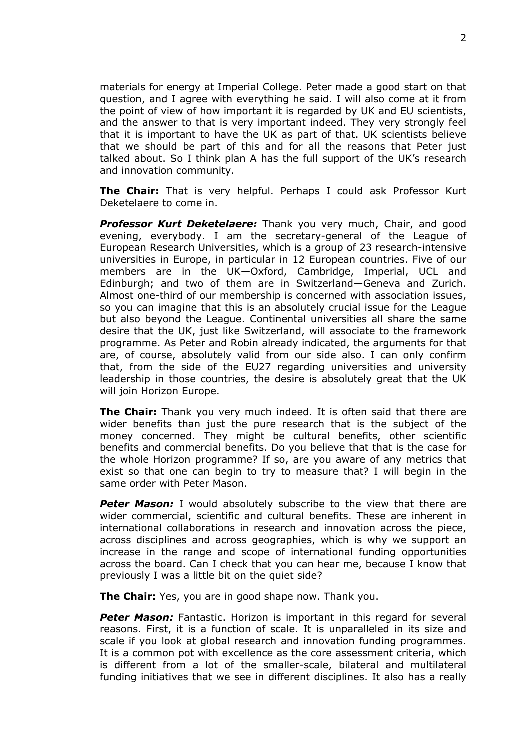materials for energy at Imperial College. Peter made a good start on that question, and I agree with everything he said. I will also come at it from the point of view of how important it is regarded by UK and EU scientists, and the answer to that is very important indeed. They very strongly feel that it is important to have the UK as part of that. UK scientists believe that we should be part of this and for all the reasons that Peter just talked about. So I think plan A has the full support of the UK's research and innovation community.

**The Chair:** That is very helpful. Perhaps I could ask Professor Kurt Deketelaere to come in.

*Professor Kurt Deketelaere:* Thank you very much, Chair, and good evening, everybody. I am the secretary-general of the League of European Research Universities, which is a group of 23 research-intensive universities in Europe, in particular in 12 European countries. Five of our members are in the UK—Oxford, Cambridge, Imperial, UCL and Edinburgh; and two of them are in Switzerland—Geneva and Zurich. Almost one-third of our membership is concerned with association issues, so you can imagine that this is an absolutely crucial issue for the League but also beyond the League. Continental universities all share the same desire that the UK, just like Switzerland, will associate to the framework programme. As Peter and Robin already indicated, the arguments for that are, of course, absolutely valid from our side also. I can only confirm that, from the side of the EU27 regarding universities and university leadership in those countries, the desire is absolutely great that the UK will join Horizon Europe.

**The Chair:** Thank you very much indeed. It is often said that there are wider benefits than just the pure research that is the subject of the money concerned. They might be cultural benefits, other scientific benefits and commercial benefits. Do you believe that that is the case for the whole Horizon programme? If so, are you aware of any metrics that exist so that one can begin to try to measure that? I will begin in the same order with Peter Mason.

*Peter Mason:* I would absolutely subscribe to the view that there are wider commercial, scientific and cultural benefits. These are inherent in international collaborations in research and innovation across the piece, across disciplines and across geographies, which is why we support an increase in the range and scope of international funding opportunities across the board. Can I check that you can hear me, because I know that previously I was a little bit on the quiet side?

**The Chair:** Yes, you are in good shape now. Thank you.

*Peter Mason:* Fantastic. Horizon is important in this regard for several reasons. First, it is a function of scale. It is unparalleled in its size and scale if you look at global research and innovation funding programmes. It is a common pot with excellence as the core assessment criteria, which is different from a lot of the smaller-scale, bilateral and multilateral funding initiatives that we see in different disciplines. It also has a really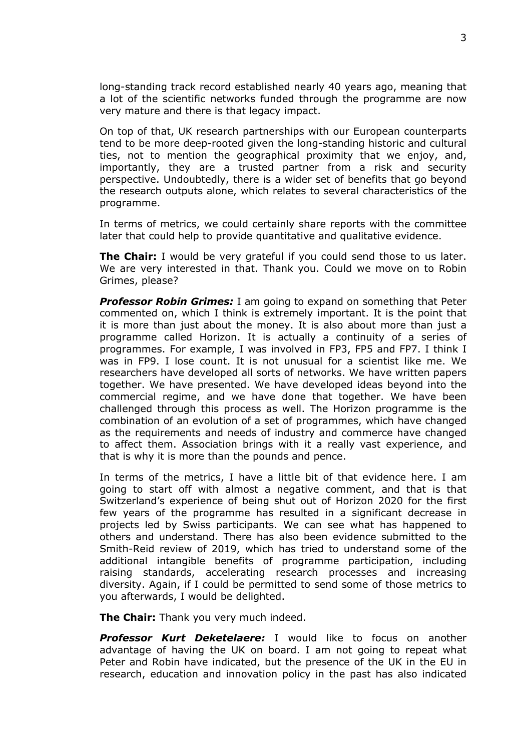long-standing track record established nearly 40 years ago, meaning that a lot of the scientific networks funded through the programme are now very mature and there is that legacy impact.

On top of that, UK research partnerships with our European counterparts tend to be more deep-rooted given the long-standing historic and cultural ties, not to mention the geographical proximity that we enjoy, and, importantly, they are a trusted partner from a risk and security perspective. Undoubtedly, there is a wider set of benefits that go beyond the research outputs alone, which relates to several characteristics of the programme.

In terms of metrics, we could certainly share reports with the committee later that could help to provide quantitative and qualitative evidence.

**The Chair:** I would be very grateful if you could send those to us later. We are very interested in that. Thank you. Could we move on to Robin Grimes, please?

*Professor Robin Grimes:* I am going to expand on something that Peter commented on, which I think is extremely important. It is the point that it is more than just about the money. It is also about more than just a programme called Horizon. It is actually a continuity of a series of programmes. For example, I was involved in FP3, FP5 and FP7. I think I was in FP9. I lose count. It is not unusual for a scientist like me. We researchers have developed all sorts of networks. We have written papers together. We have presented. We have developed ideas beyond into the commercial regime, and we have done that together. We have been challenged through this process as well. The Horizon programme is the combination of an evolution of a set of programmes, which have changed as the requirements and needs of industry and commerce have changed to affect them. Association brings with it a really vast experience, and that is why it is more than the pounds and pence.

In terms of the metrics, I have a little bit of that evidence here. I am going to start off with almost a negative comment, and that is that Switzerland's experience of being shut out of Horizon 2020 for the first few years of the programme has resulted in a significant decrease in projects led by Swiss participants. We can see what has happened to others and understand. There has also been evidence submitted to the Smith-Reid review of 2019, which has tried to understand some of the additional intangible benefits of programme participation, including raising standards, accelerating research processes and increasing diversity. Again, if I could be permitted to send some of those metrics to you afterwards, I would be delighted.

**The Chair:** Thank you very much indeed.

*Professor Kurt Deketelaere:* I would like to focus on another advantage of having the UK on board. I am not going to repeat what Peter and Robin have indicated, but the presence of the UK in the EU in research, education and innovation policy in the past has also indicated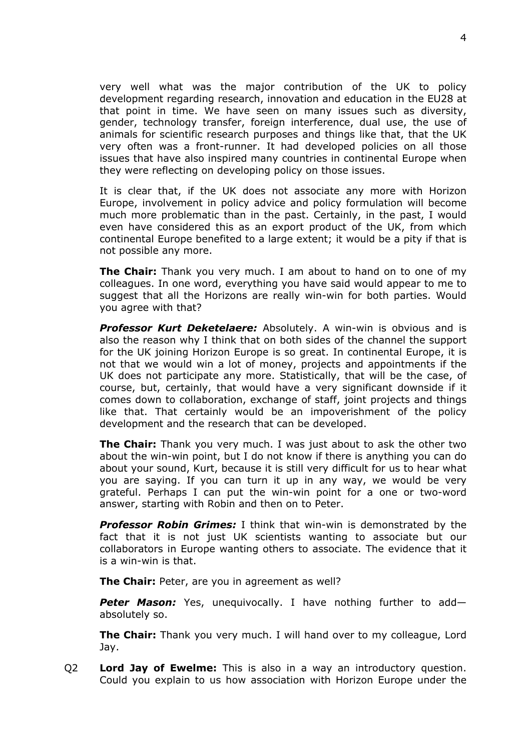very well what was the major contribution of the UK to policy development regarding research, innovation and education in the EU28 at that point in time. We have seen on many issues such as diversity, gender, technology transfer, foreign interference, dual use, the use of animals for scientific research purposes and things like that, that the UK very often was a front-runner. It had developed policies on all those issues that have also inspired many countries in continental Europe when they were reflecting on developing policy on those issues.

It is clear that, if the UK does not associate any more with Horizon Europe, involvement in policy advice and policy formulation will become much more problematic than in the past. Certainly, in the past, I would even have considered this as an export product of the UK, from which continental Europe benefited to a large extent; it would be a pity if that is not possible any more.

**The Chair:** Thank you very much. I am about to hand on to one of my colleagues. In one word, everything you have said would appear to me to suggest that all the Horizons are really win-win for both parties. Would you agree with that?

*Professor Kurt Deketelaere:* Absolutely. A win-win is obvious and is also the reason why I think that on both sides of the channel the support for the UK joining Horizon Europe is so great. In continental Europe, it is not that we would win a lot of money, projects and appointments if the UK does not participate any more. Statistically, that will be the case, of course, but, certainly, that would have a very significant downside if it comes down to collaboration, exchange of staff, joint projects and things like that. That certainly would be an impoverishment of the policy development and the research that can be developed.

**The Chair:** Thank you very much. I was just about to ask the other two about the win-win point, but I do not know if there is anything you can do about your sound, Kurt, because it is still very difficult for us to hear what you are saying. If you can turn it up in any way, we would be very grateful. Perhaps I can put the win-win point for a one or two-word answer, starting with Robin and then on to Peter.

*Professor Robin Grimes:* I think that win-win is demonstrated by the fact that it is not just UK scientists wanting to associate but our collaborators in Europe wanting others to associate. The evidence that it is a win-win is that.

**The Chair:** Peter, are you in agreement as well?

*Peter Mason:* Yes, unequivocally. I have nothing further to add absolutely so.

**The Chair:** Thank you very much. I will hand over to my colleague, Lord Jay.

Q2 **Lord Jay of Ewelme:** This is also in a way an introductory question. Could you explain to us how association with Horizon Europe under the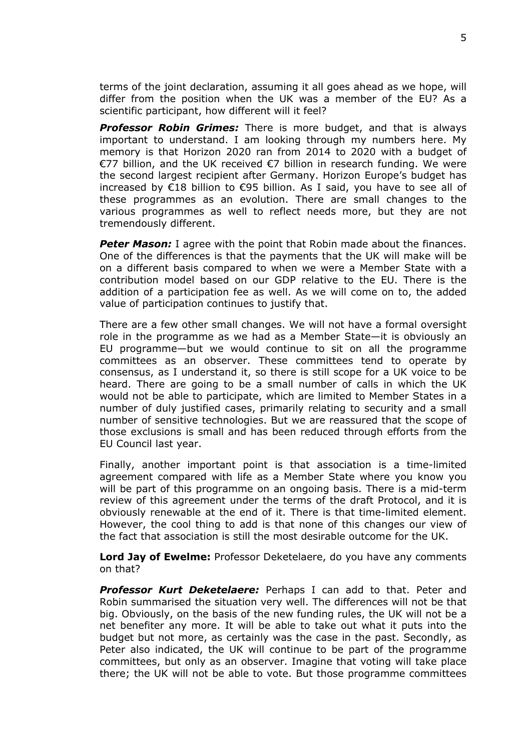terms of the joint declaration, assuming it all goes ahead as we hope, will differ from the position when the UK was a member of the EU? As a scientific participant, how different will it feel?

*Professor Robin Grimes:* There is more budget, and that is always important to understand. I am looking through my numbers here. My memory is that Horizon 2020 ran from 2014 to 2020 with a budget of €77 billion, and the UK received €7 billion in research funding. We were the second largest recipient after Germany. Horizon Europe's budget has increased by €18 billion to €95 billion. As I said, you have to see all of these programmes as an evolution. There are small changes to the various programmes as well to reflect needs more, but they are not tremendously different.

**Peter Mason:** I agree with the point that Robin made about the finances. One of the differences is that the payments that the UK will make will be on a different basis compared to when we were a Member State with a contribution model based on our GDP relative to the EU. There is the addition of a participation fee as well. As we will come on to, the added value of participation continues to justify that.

There are a few other small changes. We will not have a formal oversight role in the programme as we had as a Member State—it is obviously an EU programme—but we would continue to sit on all the programme committees as an observer. These committees tend to operate by consensus, as I understand it, so there is still scope for a UK voice to be heard. There are going to be a small number of calls in which the UK would not be able to participate, which are limited to Member States in a number of duly justified cases, primarily relating to security and a small number of sensitive technologies. But we are reassured that the scope of those exclusions is small and has been reduced through efforts from the EU Council last year.

Finally, another important point is that association is a time-limited agreement compared with life as a Member State where you know you will be part of this programme on an ongoing basis. There is a mid-term review of this agreement under the terms of the draft Protocol, and it is obviously renewable at the end of it. There is that time-limited element. However, the cool thing to add is that none of this changes our view of the fact that association is still the most desirable outcome for the UK.

**Lord Jay of Ewelme:** Professor Deketelaere, do you have any comments on that?

*Professor Kurt Deketelaere:* Perhaps I can add to that. Peter and Robin summarised the situation very well. The differences will not be that big. Obviously, on the basis of the new funding rules, the UK will not be a net benefiter any more. It will be able to take out what it puts into the budget but not more, as certainly was the case in the past. Secondly, as Peter also indicated, the UK will continue to be part of the programme committees, but only as an observer. Imagine that voting will take place there; the UK will not be able to vote. But those programme committees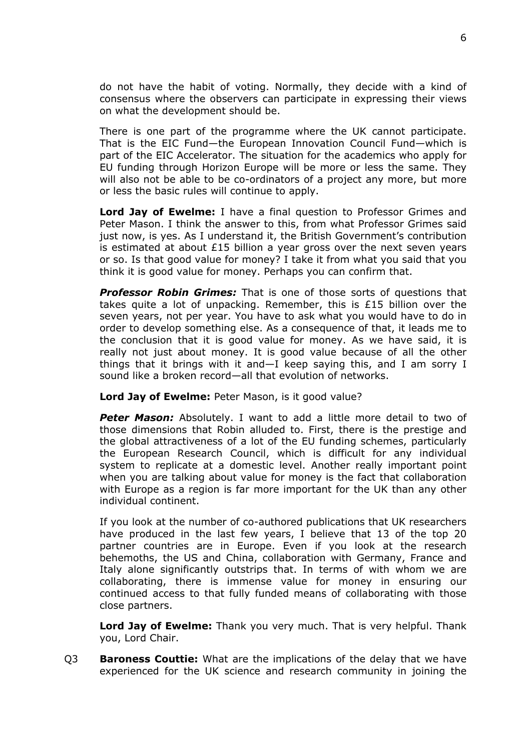do not have the habit of voting. Normally, they decide with a kind of consensus where the observers can participate in expressing their views on what the development should be.

There is one part of the programme where the UK cannot participate. That is the EIC Fund—the European Innovation Council Fund—which is part of the EIC Accelerator. The situation for the academics who apply for EU funding through Horizon Europe will be more or less the same. They will also not be able to be co-ordinators of a project any more, but more or less the basic rules will continue to apply.

**Lord Jay of Ewelme:** I have a final question to Professor Grimes and Peter Mason. I think the answer to this, from what Professor Grimes said just now, is yes. As I understand it, the British Government's contribution is estimated at about  $£15$  billion a year gross over the next seven years or so. Is that good value for money? I take it from what you said that you think it is good value for money. Perhaps you can confirm that.

*Professor Robin Grimes:* That is one of those sorts of questions that takes quite a lot of unpacking. Remember, this is £15 billion over the seven years, not per year. You have to ask what you would have to do in order to develop something else. As a consequence of that, it leads me to the conclusion that it is good value for money. As we have said, it is really not just about money. It is good value because of all the other things that it brings with it and—I keep saying this, and I am sorry I sound like a broken record—all that evolution of networks.

#### **Lord Jay of Ewelme:** Peter Mason, is it good value?

**Peter Mason:** Absolutely. I want to add a little more detail to two of those dimensions that Robin alluded to. First, there is the prestige and the global attractiveness of a lot of the EU funding schemes, particularly the European Research Council, which is difficult for any individual system to replicate at a domestic level. Another really important point when you are talking about value for money is the fact that collaboration with Europe as a region is far more important for the UK than any other individual continent.

If you look at the number of co-authored publications that UK researchers have produced in the last few years, I believe that 13 of the top 20 partner countries are in Europe. Even if you look at the research behemoths, the US and China, collaboration with Germany, France and Italy alone significantly outstrips that. In terms of with whom we are collaborating, there is immense value for money in ensuring our continued access to that fully funded means of collaborating with those close partners.

**Lord Jay of Ewelme:** Thank you very much. That is very helpful. Thank you, Lord Chair.

Q3 **Baroness Couttie:** What are the implications of the delay that we have experienced for the UK science and research community in joining the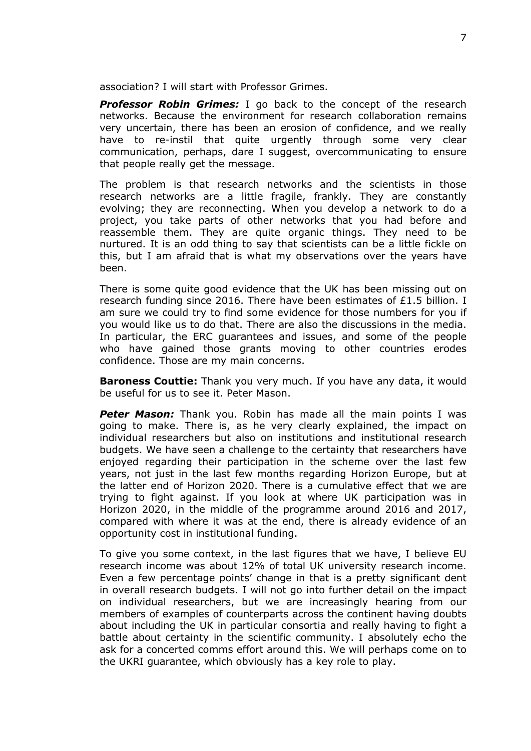association? I will start with Professor Grimes.

*Professor Robin Grimes:* I go back to the concept of the research networks. Because the environment for research collaboration remains very uncertain, there has been an erosion of confidence, and we really have to re-instil that quite urgently through some very clear communication, perhaps, dare I suggest, overcommunicating to ensure that people really get the message.

The problem is that research networks and the scientists in those research networks are a little fragile, frankly. They are constantly evolving; they are reconnecting. When you develop a network to do a project, you take parts of other networks that you had before and reassemble them. They are quite organic things. They need to be nurtured. It is an odd thing to say that scientists can be a little fickle on this, but I am afraid that is what my observations over the years have been.

There is some quite good evidence that the UK has been missing out on research funding since 2016. There have been estimates of £1.5 billion. I am sure we could try to find some evidence for those numbers for you if you would like us to do that. There are also the discussions in the media. In particular, the ERC guarantees and issues, and some of the people who have gained those grants moving to other countries erodes confidence. Those are my main concerns.

**Baroness Couttie:** Thank you very much. If you have any data, it would be useful for us to see it. Peter Mason.

**Peter Mason:** Thank you. Robin has made all the main points I was going to make. There is, as he very clearly explained, the impact on individual researchers but also on institutions and institutional research budgets. We have seen a challenge to the certainty that researchers have enjoyed regarding their participation in the scheme over the last few years, not just in the last few months regarding Horizon Europe, but at the latter end of Horizon 2020. There is a cumulative effect that we are trying to fight against. If you look at where UK participation was in Horizon 2020, in the middle of the programme around 2016 and 2017, compared with where it was at the end, there is already evidence of an opportunity cost in institutional funding.

To give you some context, in the last figures that we have, I believe EU research income was about 12% of total UK university research income. Even a few percentage points' change in that is a pretty significant dent in overall research budgets. I will not go into further detail on the impact on individual researchers, but we are increasingly hearing from our members of examples of counterparts across the continent having doubts about including the UK in particular consortia and really having to fight a battle about certainty in the scientific community. I absolutely echo the ask for a concerted comms effort around this. We will perhaps come on to the UKRI guarantee, which obviously has a key role to play.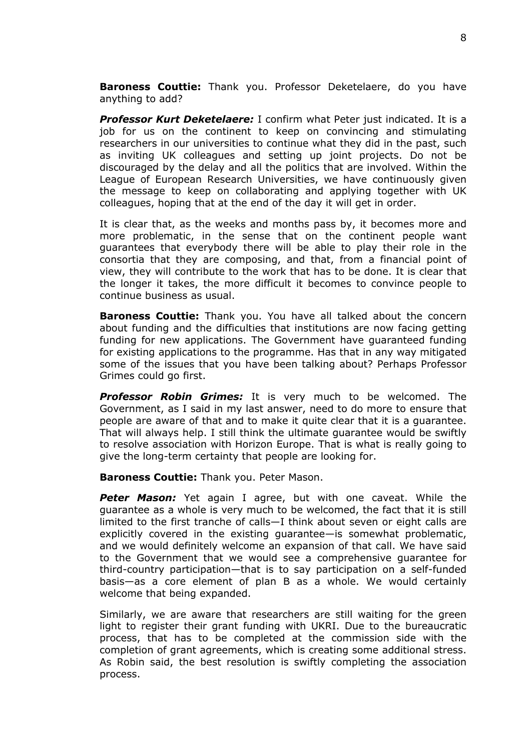**Baroness Couttie:** Thank you. Professor Deketelaere, do you have anything to add?

*Professor Kurt Deketelaere:* I confirm what Peter just indicated. It is a job for us on the continent to keep on convincing and stimulating researchers in our universities to continue what they did in the past, such as inviting UK colleagues and setting up joint projects. Do not be discouraged by the delay and all the politics that are involved. Within the League of European Research Universities, we have continuously given the message to keep on collaborating and applying together with UK colleagues, hoping that at the end of the day it will get in order.

It is clear that, as the weeks and months pass by, it becomes more and more problematic, in the sense that on the continent people want guarantees that everybody there will be able to play their role in the consortia that they are composing, and that, from a financial point of view, they will contribute to the work that has to be done. It is clear that the longer it takes, the more difficult it becomes to convince people to continue business as usual.

**Baroness Couttie:** Thank you. You have all talked about the concern about funding and the difficulties that institutions are now facing getting funding for new applications. The Government have guaranteed funding for existing applications to the programme. Has that in any way mitigated some of the issues that you have been talking about? Perhaps Professor Grimes could go first.

*Professor Robin Grimes:* It is very much to be welcomed. The Government, as I said in my last answer, need to do more to ensure that people are aware of that and to make it quite clear that it is a guarantee. That will always help. I still think the ultimate guarantee would be swiftly to resolve association with Horizon Europe. That is what is really going to give the long-term certainty that people are looking for.

**Baroness Couttie:** Thank you. Peter Mason.

**Peter Mason:** Yet again I agree, but with one caveat. While the guarantee as a whole is very much to be welcomed, the fact that it is still limited to the first tranche of calls—I think about seven or eight calls are explicitly covered in the existing guarantee—is somewhat problematic, and we would definitely welcome an expansion of that call. We have said to the Government that we would see a comprehensive guarantee for third-country participation—that is to say participation on a self-funded basis—as a core element of plan B as a whole. We would certainly welcome that being expanded.

Similarly, we are aware that researchers are still waiting for the green light to register their grant funding with UKRI. Due to the bureaucratic process, that has to be completed at the commission side with the completion of grant agreements, which is creating some additional stress. As Robin said, the best resolution is swiftly completing the association process.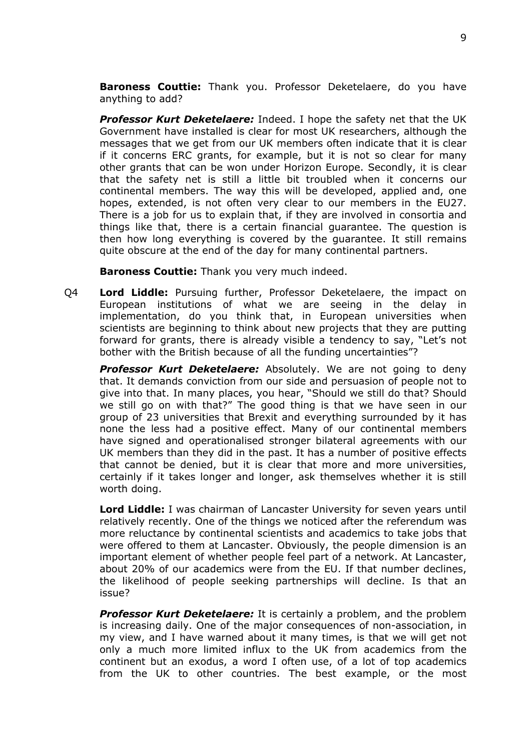**Baroness Couttie:** Thank you. Professor Deketelaere, do you have anything to add?

*Professor Kurt Deketelaere:* Indeed. I hope the safety net that the UK Government have installed is clear for most UK researchers, although the messages that we get from our UK members often indicate that it is clear if it concerns ERC grants, for example, but it is not so clear for many other grants that can be won under Horizon Europe. Secondly, it is clear that the safety net is still a little bit troubled when it concerns our continental members. The way this will be developed, applied and, one hopes, extended, is not often very clear to our members in the EU27. There is a job for us to explain that, if they are involved in consortia and things like that, there is a certain financial guarantee. The question is then how long everything is covered by the guarantee. It still remains quite obscure at the end of the day for many continental partners.

**Baroness Couttie:** Thank you very much indeed.

Q4 **Lord Liddle:** Pursuing further, Professor Deketelaere, the impact on European institutions of what we are seeing in the delay in implementation, do you think that, in European universities when scientists are beginning to think about new projects that they are putting forward for grants, there is already visible a tendency to say, "Let's not bother with the British because of all the funding uncertainties"?

*Professor Kurt Deketelaere:* Absolutely. We are not going to deny that. It demands conviction from our side and persuasion of people not to give into that. In many places, you hear, "Should we still do that? Should we still go on with that?" The good thing is that we have seen in our group of 23 universities that Brexit and everything surrounded by it has none the less had a positive effect. Many of our continental members have signed and operationalised stronger bilateral agreements with our UK members than they did in the past. It has a number of positive effects that cannot be denied, but it is clear that more and more universities, certainly if it takes longer and longer, ask themselves whether it is still worth doing.

**Lord Liddle:** I was chairman of Lancaster University for seven years until relatively recently. One of the things we noticed after the referendum was more reluctance by continental scientists and academics to take jobs that were offered to them at Lancaster. Obviously, the people dimension is an important element of whether people feel part of a network. At Lancaster, about 20% of our academics were from the EU. If that number declines, the likelihood of people seeking partnerships will decline. Is that an issue?

*Professor Kurt Deketelaere:* It is certainly a problem, and the problem is increasing daily. One of the major consequences of non-association, in my view, and I have warned about it many times, is that we will get not only a much more limited influx to the UK from academics from the continent but an exodus, a word I often use, of a lot of top academics from the UK to other countries. The best example, or the most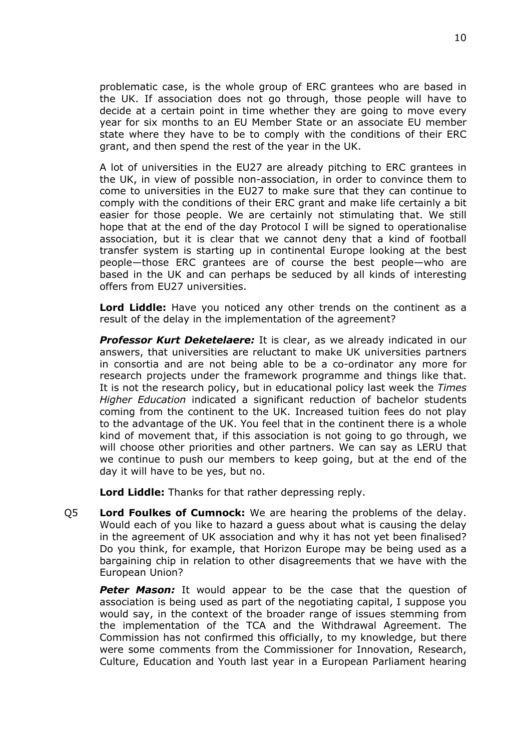problematic case, is the whole group of ERC grantees who are based in the UK. If association does not go through, those people will have to decide at a certain point in time whether they are going to move every year for six months to an EU Member State or an associate EU member state where they have to be to comply with the conditions of their ERC grant, and then spend the rest of the year in the UK.

A lot of universities in the EU27 are already pitching to ERC grantees in the UK, in view of possible non-association, in order to convince them to come to universities in the EU27 to make sure that they can continue to comply with the conditions of their ERC grant and make life certainly a bit easier for those people. We are certainly not stimulating that. We still hope that at the end of the day Protocol I will be signed to operationalise association, but it is clear that we cannot deny that a kind of football transfer system is starting up in continental Europe looking at the best people—those ERC grantees are of course the best people—who are based in the UK and can perhaps be seduced by all kinds of interesting offers from EU27 universities.

**Lord Liddle:** Have you noticed any other trends on the continent as a result of the delay in the implementation of the agreement?

*Professor Kurt Deketelaere:* It is clear, as we already indicated in our answers, that universities are reluctant to make UK universities partners in consortia and are not being able to be a co-ordinator any more for research projects under the framework programme and things like that. It is not the research policy, but in educational policy last week the *Times Higher Education* indicated a significant reduction of bachelor students coming from the continent to the UK. Increased tuition fees do not play to the advantage of the UK. You feel that in the continent there is a whole kind of movement that, if this association is not going to go through, we will choose other priorities and other partners. We can say as LERU that we continue to push our members to keep going, but at the end of the day it will have to be yes, but no.

**Lord Liddle:** Thanks for that rather depressing reply.

Q5 **Lord Foulkes of Cumnock:** We are hearing the problems of the delay. Would each of you like to hazard a guess about what is causing the delay in the agreement of UK association and why it has not yet been finalised? Do you think, for example, that Horizon Europe may be being used as a bargaining chip in relation to other disagreements that we have with the European Union?

**Peter Mason:** It would appear to be the case that the question of association is being used as part of the negotiating capital, I suppose you would say, in the context of the broader range of issues stemming from the implementation of the TCA and the Withdrawal Agreement. The Commission has not confirmed this officially, to my knowledge, but there were some comments from the Commissioner for Innovation, Research, Culture, Education and Youth last year in a European Parliament hearing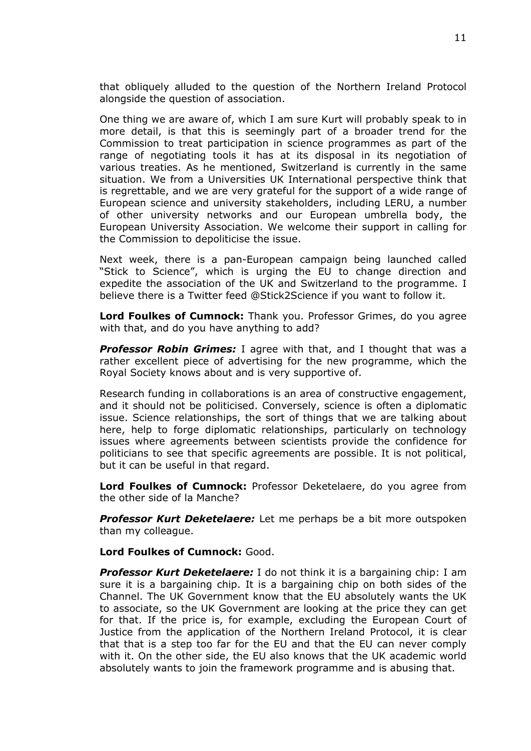that obliquely alluded to the question of the Northern Ireland Protocol alongside the question of association.

One thing we are aware of, which I am sure Kurt will probably speak to in more detail, is that this is seemingly part of a broader trend for the Commission to treat participation in science programmes as part of the range of negotiating tools it has at its disposal in its negotiation of various treaties. As he mentioned, Switzerland is currently in the same situation. We from a Universities UK International perspective think that is regrettable, and we are very grateful for the support of a wide range of European science and university stakeholders, including LERU, a number of other university networks and our European umbrella body, the European University Association. We welcome their support in calling for the Commission to depoliticise the issue.

Next week, there is a pan-European campaign being launched called "Stick to Science", which is urging the EU to change direction and expedite the association of the UK and Switzerland to the programme. I believe there is a Twitter feed @Stick2Science if you want to follow it.

**Lord Foulkes of Cumnock:** Thank you. Professor Grimes, do you agree with that, and do you have anything to add?

*Professor Robin Grimes:* I agree with that, and I thought that was a rather excellent piece of advertising for the new programme, which the Royal Society knows about and is very supportive of.

Research funding in collaborations is an area of constructive engagement, and it should not be politicised. Conversely, science is often a diplomatic issue. Science relationships, the sort of things that we are talking about here, help to forge diplomatic relationships, particularly on technology issues where agreements between scientists provide the confidence for politicians to see that specific agreements are possible. It is not political, but it can be useful in that regard.

**Lord Foulkes of Cumnock:** Professor Deketelaere, do you agree from the other side of la Manche?

*Professor Kurt Deketelaere:* Let me perhaps be a bit more outspoken than my colleague.

**Lord Foulkes of Cumnock:** Good.

*Professor Kurt Deketelaere:* I do not think it is a bargaining chip: I am sure it is a bargaining chip. It is a bargaining chip on both sides of the Channel. The UK Government know that the EU absolutely wants the UK to associate, so the UK Government are looking at the price they can get for that. If the price is, for example, excluding the European Court of Justice from the application of the Northern Ireland Protocol, it is clear that that is a step too far for the EU and that the EU can never comply with it. On the other side, the EU also knows that the UK academic world absolutely wants to join the framework programme and is abusing that.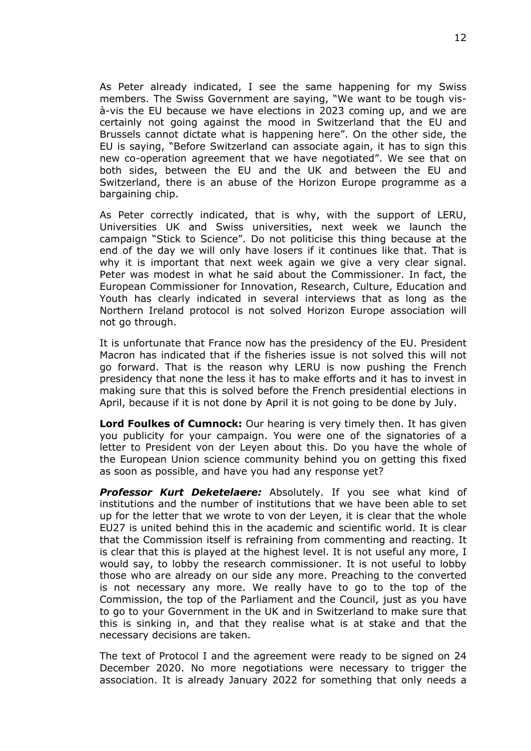As Peter already indicated, I see the same happening for my Swiss members. The Swiss Government are saying, "We want to be tough visà-vis the EU because we have elections in 2023 coming up, and we are certainly not going against the mood in Switzerland that the EU and Brussels cannot dictate what is happening here". On the other side, the EU is saying, "Before Switzerland can associate again, it has to sign this new co-operation agreement that we have negotiated". We see that on both sides, between the EU and the UK and between the EU and Switzerland, there is an abuse of the Horizon Europe programme as a bargaining chip.

As Peter correctly indicated, that is why, with the support of LERU, Universities UK and Swiss universities, next week we launch the campaign "Stick to Science". Do not politicise this thing because at the end of the day we will only have losers if it continues like that. That is why it is important that next week again we give a very clear signal. Peter was modest in what he said about the Commissioner. In fact, the European Commissioner for Innovation, Research, Culture, Education and Youth has clearly indicated in several interviews that as long as the Northern Ireland protocol is not solved Horizon Europe association will not go through.

It is unfortunate that France now has the presidency of the EU. President Macron has indicated that if the fisheries issue is not solved this will not go forward. That is the reason why LERU is now pushing the French presidency that none the less it has to make efforts and it has to invest in making sure that this is solved before the French presidential elections in April, because if it is not done by April it is not going to be done by July.

**Lord Foulkes of Cumnock:** Our hearing is very timely then. It has given you publicity for your campaign. You were one of the signatories of a letter to President von der Leyen about this. Do you have the whole of the European Union science community behind you on getting this fixed as soon as possible, and have you had any response yet?

*Professor Kurt Deketelaere:* Absolutely. If you see what kind of institutions and the number of institutions that we have been able to set up for the letter that we wrote to von der Leyen, it is clear that the whole EU27 is united behind this in the academic and scientific world. It is clear that the Commission itself is refraining from commenting and reacting. It is clear that this is played at the highest level. It is not useful any more, I would say, to lobby the research commissioner. It is not useful to lobby those who are already on our side any more. Preaching to the converted is not necessary any more. We really have to go to the top of the Commission, the top of the Parliament and the Council, just as you have to go to your Government in the UK and in Switzerland to make sure that this is sinking in, and that they realise what is at stake and that the necessary decisions are taken.

The text of Protocol I and the agreement were ready to be signed on 24 December 2020. No more negotiations were necessary to trigger the association. It is already January 2022 for something that only needs a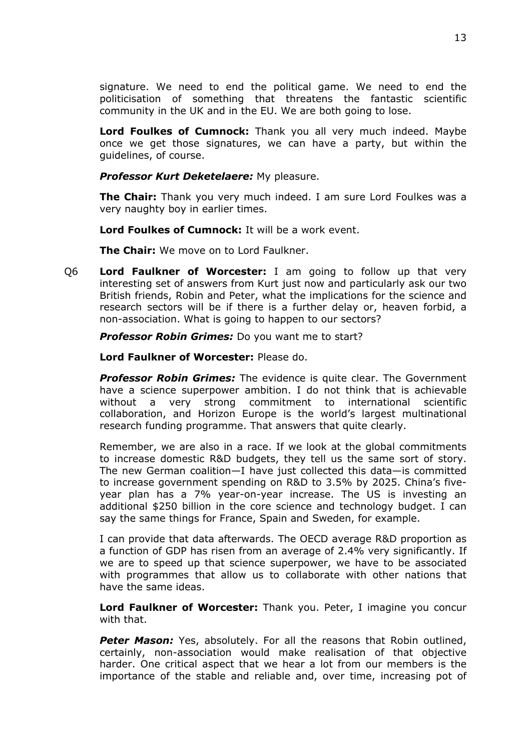signature. We need to end the political game. We need to end the politicisation of something that threatens the fantastic scientific community in the UK and in the EU. We are both going to lose.

**Lord Foulkes of Cumnock:** Thank you all very much indeed. Maybe once we get those signatures, we can have a party, but within the guidelines, of course.

*Professor Kurt Deketelaere:* My pleasure.

**The Chair:** Thank you very much indeed. I am sure Lord Foulkes was a very naughty boy in earlier times.

**Lord Foulkes of Cumnock:** It will be a work event.

**The Chair:** We move on to Lord Faulkner.

Q6 **Lord Faulkner of Worcester:** I am going to follow up that very interesting set of answers from Kurt just now and particularly ask our two British friends, Robin and Peter, what the implications for the science and research sectors will be if there is a further delay or, heaven forbid, a non-association. What is going to happen to our sectors?

*Professor Robin Grimes:* Do you want me to start?

**Lord Faulkner of Worcester:** Please do.

*Professor Robin Grimes:* The evidence is quite clear. The Government have a science superpower ambition. I do not think that is achievable without a very strong commitment to international scientific collaboration, and Horizon Europe is the world's largest multinational research funding programme. That answers that quite clearly.

Remember, we are also in a race. If we look at the global commitments to increase domestic R&D budgets, they tell us the same sort of story. The new German coalition—I have just collected this data—is committed to increase government spending on R&D to 3.5% by 2025. China's fiveyear plan has a 7% year-on-year increase. The US is investing an additional \$250 billion in the core science and technology budget. I can say the same things for France, Spain and Sweden, for example.

I can provide that data afterwards. The OECD average R&D proportion as a function of GDP has risen from an average of 2.4% very significantly. If we are to speed up that science superpower, we have to be associated with programmes that allow us to collaborate with other nations that have the same ideas.

**Lord Faulkner of Worcester:** Thank you. Peter, I imagine you concur with that.

*Peter Mason:* Yes, absolutely. For all the reasons that Robin outlined, certainly, non-association would make realisation of that objective harder. One critical aspect that we hear a lot from our members is the importance of the stable and reliable and, over time, increasing pot of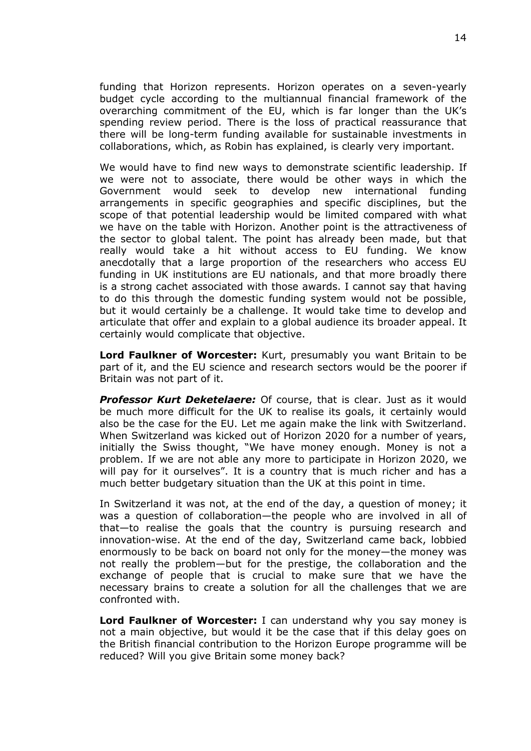funding that Horizon represents. Horizon operates on a seven-yearly budget cycle according to the multiannual financial framework of the overarching commitment of the EU, which is far longer than the UK's spending review period. There is the loss of practical reassurance that there will be long-term funding available for sustainable investments in collaborations, which, as Robin has explained, is clearly very important.

We would have to find new ways to demonstrate scientific leadership. If we were not to associate, there would be other ways in which the Government would seek to develop new international funding arrangements in specific geographies and specific disciplines, but the scope of that potential leadership would be limited compared with what we have on the table with Horizon. Another point is the attractiveness of the sector to global talent. The point has already been made, but that really would take a hit without access to EU funding. We know anecdotally that a large proportion of the researchers who access EU funding in UK institutions are EU nationals, and that more broadly there is a strong cachet associated with those awards. I cannot say that having to do this through the domestic funding system would not be possible, but it would certainly be a challenge. It would take time to develop and articulate that offer and explain to a global audience its broader appeal. It certainly would complicate that objective.

**Lord Faulkner of Worcester:** Kurt, presumably you want Britain to be part of it, and the EU science and research sectors would be the poorer if Britain was not part of it.

*Professor Kurt Deketelaere:* Of course, that is clear. Just as it would be much more difficult for the UK to realise its goals, it certainly would also be the case for the EU. Let me again make the link with Switzerland. When Switzerland was kicked out of Horizon 2020 for a number of years, initially the Swiss thought, "We have money enough. Money is not a problem. If we are not able any more to participate in Horizon 2020, we will pay for it ourselves". It is a country that is much richer and has a much better budgetary situation than the UK at this point in time.

In Switzerland it was not, at the end of the day, a question of money; it was a question of collaboration—the people who are involved in all of that—to realise the goals that the country is pursuing research and innovation-wise. At the end of the day, Switzerland came back, lobbied enormously to be back on board not only for the money—the money was not really the problem—but for the prestige, the collaboration and the exchange of people that is crucial to make sure that we have the necessary brains to create a solution for all the challenges that we are confronted with.

**Lord Faulkner of Worcester:** I can understand why you say money is not a main objective, but would it be the case that if this delay goes on the British financial contribution to the Horizon Europe programme will be reduced? Will you give Britain some money back?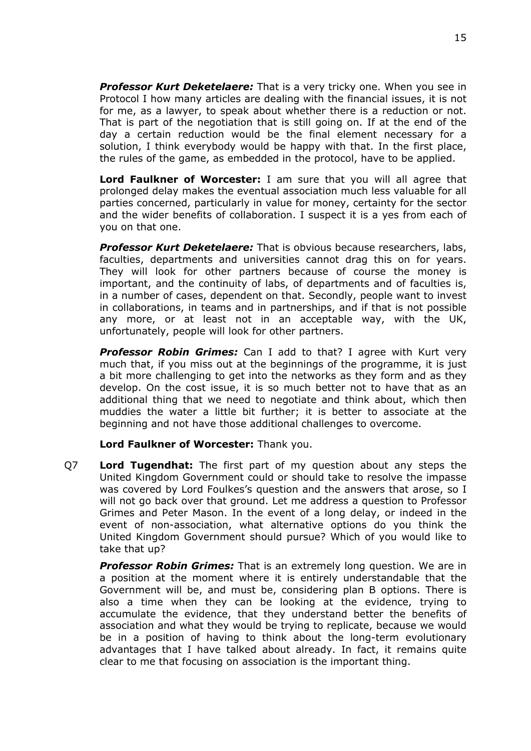*Professor Kurt Deketelaere:* That is a very tricky one. When you see in Protocol I how many articles are dealing with the financial issues, it is not for me, as a lawyer, to speak about whether there is a reduction or not. That is part of the negotiation that is still going on. If at the end of the day a certain reduction would be the final element necessary for a solution, I think everybody would be happy with that. In the first place, the rules of the game, as embedded in the protocol, have to be applied.

**Lord Faulkner of Worcester:** I am sure that you will all agree that prolonged delay makes the eventual association much less valuable for all parties concerned, particularly in value for money, certainty for the sector and the wider benefits of collaboration. I suspect it is a yes from each of you on that one.

*Professor Kurt Deketelaere:* That is obvious because researchers, labs, faculties, departments and universities cannot drag this on for years. They will look for other partners because of course the money is important, and the continuity of labs, of departments and of faculties is, in a number of cases, dependent on that. Secondly, people want to invest in collaborations, in teams and in partnerships, and if that is not possible any more, or at least not in an acceptable way, with the UK, unfortunately, people will look for other partners.

*Professor Robin Grimes:* Can I add to that? I agree with Kurt very much that, if you miss out at the beginnings of the programme, it is just a bit more challenging to get into the networks as they form and as they develop. On the cost issue, it is so much better not to have that as an additional thing that we need to negotiate and think about, which then muddies the water a little bit further; it is better to associate at the beginning and not have those additional challenges to overcome.

#### **Lord Faulkner of Worcester:** Thank you.

Q7 **Lord Tugendhat:** The first part of my question about any steps the United Kingdom Government could or should take to resolve the impasse was covered by Lord Foulkes's question and the answers that arose, so I will not go back over that ground. Let me address a question to Professor Grimes and Peter Mason. In the event of a long delay, or indeed in the event of non-association, what alternative options do you think the United Kingdom Government should pursue? Which of you would like to take that up?

*Professor Robin Grimes:* That is an extremely long question. We are in a position at the moment where it is entirely understandable that the Government will be, and must be, considering plan B options. There is also a time when they can be looking at the evidence, trying to accumulate the evidence, that they understand better the benefits of association and what they would be trying to replicate, because we would be in a position of having to think about the long-term evolutionary advantages that I have talked about already. In fact, it remains quite clear to me that focusing on association is the important thing.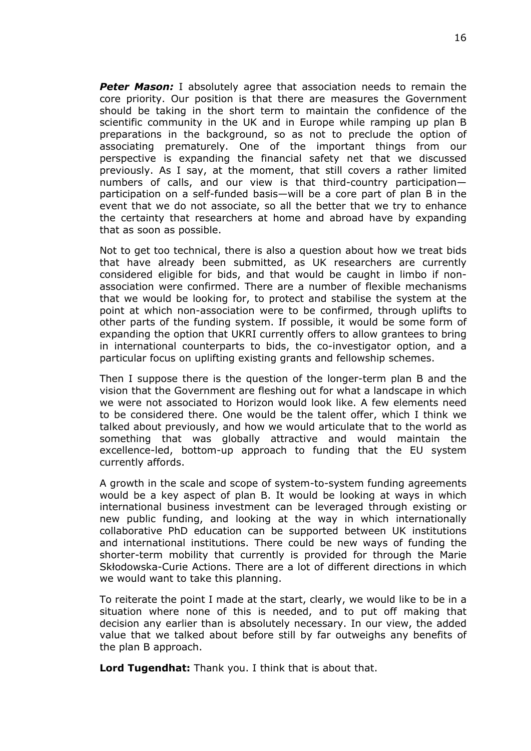*Peter Mason:* I absolutely agree that association needs to remain the core priority. Our position is that there are measures the Government should be taking in the short term to maintain the confidence of the scientific community in the UK and in Europe while ramping up plan B preparations in the background, so as not to preclude the option of associating prematurely. One of the important things from our perspective is expanding the financial safety net that we discussed previously. As I say, at the moment, that still covers a rather limited numbers of calls, and our view is that third-country participation participation on a self-funded basis—will be a core part of plan B in the event that we do not associate, so all the better that we try to enhance the certainty that researchers at home and abroad have by expanding that as soon as possible.

Not to get too technical, there is also a question about how we treat bids that have already been submitted, as UK researchers are currently considered eligible for bids, and that would be caught in limbo if nonassociation were confirmed. There are a number of flexible mechanisms that we would be looking for, to protect and stabilise the system at the point at which non-association were to be confirmed, through uplifts to other parts of the funding system. If possible, it would be some form of expanding the option that UKRI currently offers to allow grantees to bring in international counterparts to bids, the co-investigator option, and a particular focus on uplifting existing grants and fellowship schemes.

Then I suppose there is the question of the longer-term plan B and the vision that the Government are fleshing out for what a landscape in which we were not associated to Horizon would look like. A few elements need to be considered there. One would be the talent offer, which I think we talked about previously, and how we would articulate that to the world as something that was globally attractive and would maintain the excellence-led, bottom-up approach to funding that the EU system currently affords.

A growth in the scale and scope of system-to-system funding agreements would be a key aspect of plan B. It would be looking at ways in which international business investment can be leveraged through existing or new public funding, and looking at the way in which internationally collaborative PhD education can be supported between UK institutions and international institutions. There could be new ways of funding the shorter-term mobility that currently is provided for through the Marie Skłodowska-Curie Actions. There are a lot of different directions in which we would want to take this planning.

To reiterate the point I made at the start, clearly, we would like to be in a situation where none of this is needed, and to put off making that decision any earlier than is absolutely necessary. In our view, the added value that we talked about before still by far outweighs any benefits of the plan B approach.

**Lord Tugendhat:** Thank you. I think that is about that.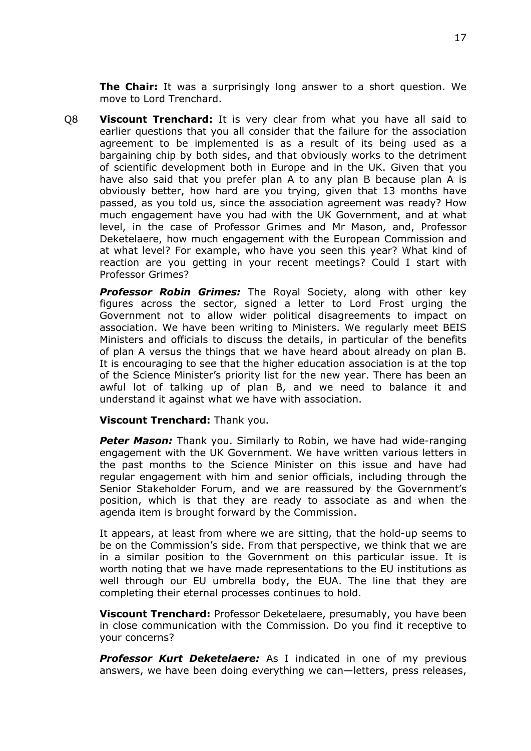**The Chair:** It was a surprisingly long answer to a short question. We move to Lord Trenchard.

Q8 **Viscount Trenchard:** It is very clear from what you have all said to earlier questions that you all consider that the failure for the association agreement to be implemented is as a result of its being used as a bargaining chip by both sides, and that obviously works to the detriment of scientific development both in Europe and in the UK. Given that you have also said that you prefer plan A to any plan B because plan A is obviously better, how hard are you trying, given that 13 months have passed, as you told us, since the association agreement was ready? How much engagement have you had with the UK Government, and at what level, in the case of Professor Grimes and Mr Mason, and, Professor Deketelaere, how much engagement with the European Commission and at what level? For example, who have you seen this year? What kind of reaction are you getting in your recent meetings? Could I start with Professor Grimes?

*Professor Robin Grimes:* The Royal Society, along with other key figures across the sector, signed a letter to Lord Frost urging the Government not to allow wider political disagreements to impact on association. We have been writing to Ministers. We regularly meet BEIS Ministers and officials to discuss the details, in particular of the benefits of plan A versus the things that we have heard about already on plan B. It is encouraging to see that the higher education association is at the top of the Science Minister's priority list for the new year. There has been an awful lot of talking up of plan B, and we need to balance it and understand it against what we have with association.

#### **Viscount Trenchard:** Thank you.

*Peter Mason:* Thank you. Similarly to Robin, we have had wide-ranging engagement with the UK Government. We have written various letters in the past months to the Science Minister on this issue and have had regular engagement with him and senior officials, including through the Senior Stakeholder Forum, and we are reassured by the Government's position, which is that they are ready to associate as and when the agenda item is brought forward by the Commission.

It appears, at least from where we are sitting, that the hold-up seems to be on the Commission's side. From that perspective, we think that we are in a similar position to the Government on this particular issue. It is worth noting that we have made representations to the EU institutions as well through our EU umbrella body, the EUA. The line that they are completing their eternal processes continues to hold.

**Viscount Trenchard:** Professor Deketelaere, presumably, you have been in close communication with the Commission. Do you find it receptive to your concerns?

*Professor Kurt Deketelaere:* As I indicated in one of my previous answers, we have been doing everything we can—letters, press releases,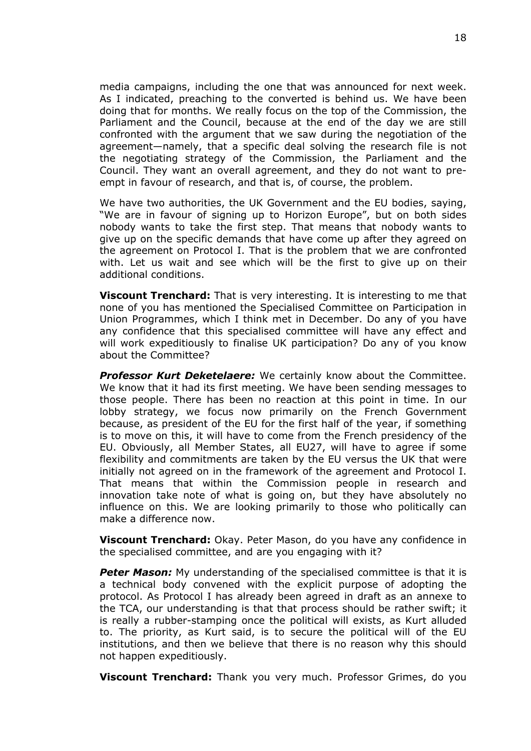media campaigns, including the one that was announced for next week. As I indicated, preaching to the converted is behind us. We have been doing that for months. We really focus on the top of the Commission, the Parliament and the Council, because at the end of the day we are still confronted with the argument that we saw during the negotiation of the agreement—namely, that a specific deal solving the research file is not the negotiating strategy of the Commission, the Parliament and the Council. They want an overall agreement, and they do not want to preempt in favour of research, and that is, of course, the problem.

We have two authorities, the UK Government and the EU bodies, saying, "We are in favour of signing up to Horizon Europe", but on both sides nobody wants to take the first step. That means that nobody wants to give up on the specific demands that have come up after they agreed on the agreement on Protocol I. That is the problem that we are confronted with. Let us wait and see which will be the first to give up on their additional conditions.

**Viscount Trenchard:** That is very interesting. It is interesting to me that none of you has mentioned the Specialised Committee on Participation in Union Programmes, which I think met in December. Do any of you have any confidence that this specialised committee will have any effect and will work expeditiously to finalise UK participation? Do any of you know about the Committee?

*Professor Kurt Deketelaere:* We certainly know about the Committee. We know that it had its first meeting. We have been sending messages to those people. There has been no reaction at this point in time. In our lobby strategy, we focus now primarily on the French Government because, as president of the EU for the first half of the year, if something is to move on this, it will have to come from the French presidency of the EU. Obviously, all Member States, all EU27, will have to agree if some flexibility and commitments are taken by the EU versus the UK that were initially not agreed on in the framework of the agreement and Protocol I. That means that within the Commission people in research and innovation take note of what is going on, but they have absolutely no influence on this. We are looking primarily to those who politically can make a difference now.

**Viscount Trenchard:** Okay. Peter Mason, do you have any confidence in the specialised committee, and are you engaging with it?

*Peter Mason:* My understanding of the specialised committee is that it is a technical body convened with the explicit purpose of adopting the protocol. As Protocol I has already been agreed in draft as an annexe to the TCA, our understanding is that that process should be rather swift; it is really a rubber-stamping once the political will exists, as Kurt alluded to. The priority, as Kurt said, is to secure the political will of the EU institutions, and then we believe that there is no reason why this should not happen expeditiously.

**Viscount Trenchard:** Thank you very much. Professor Grimes, do you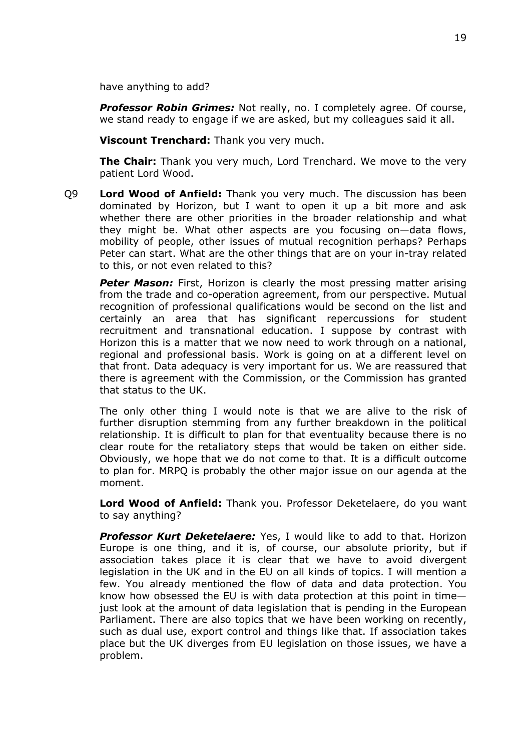have anything to add?

*Professor Robin Grimes:* Not really, no. I completely agree. Of course, we stand ready to engage if we are asked, but my colleagues said it all.

**Viscount Trenchard:** Thank you very much.

**The Chair:** Thank you very much, Lord Trenchard. We move to the very patient Lord Wood.

Q9 **Lord Wood of Anfield:** Thank you very much. The discussion has been dominated by Horizon, but I want to open it up a bit more and ask whether there are other priorities in the broader relationship and what they might be. What other aspects are you focusing on—data flows, mobility of people, other issues of mutual recognition perhaps? Perhaps Peter can start. What are the other things that are on your in-tray related to this, or not even related to this?

**Peter Mason:** First, Horizon is clearly the most pressing matter arising from the trade and co-operation agreement, from our perspective. Mutual recognition of professional qualifications would be second on the list and certainly an area that has significant repercussions for student recruitment and transnational education. I suppose by contrast with Horizon this is a matter that we now need to work through on a national, regional and professional basis. Work is going on at a different level on that front. Data adequacy is very important for us. We are reassured that there is agreement with the Commission, or the Commission has granted that status to the UK.

The only other thing I would note is that we are alive to the risk of further disruption stemming from any further breakdown in the political relationship. It is difficult to plan for that eventuality because there is no clear route for the retaliatory steps that would be taken on either side. Obviously, we hope that we do not come to that. It is a difficult outcome to plan for. MRPQ is probably the other major issue on our agenda at the moment.

**Lord Wood of Anfield:** Thank you. Professor Deketelaere, do you want to say anything?

*Professor Kurt Deketelaere:* Yes, I would like to add to that. Horizon Europe is one thing, and it is, of course, our absolute priority, but if association takes place it is clear that we have to avoid divergent legislation in the UK and in the EU on all kinds of topics. I will mention a few. You already mentioned the flow of data and data protection. You know how obsessed the EU is with data protection at this point in time just look at the amount of data legislation that is pending in the European Parliament. There are also topics that we have been working on recently, such as dual use, export control and things like that. If association takes place but the UK diverges from EU legislation on those issues, we have a problem.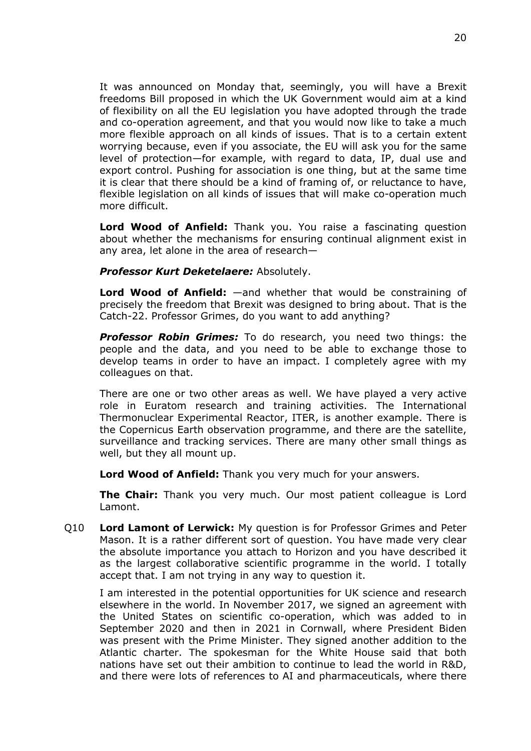It was announced on Monday that, seemingly, you will have a Brexit freedoms Bill proposed in which the UK Government would aim at a kind of flexibility on all the EU legislation you have adopted through the trade and co-operation agreement, and that you would now like to take a much more flexible approach on all kinds of issues. That is to a certain extent worrying because, even if you associate, the EU will ask you for the same level of protection—for example, with regard to data, IP, dual use and export control. Pushing for association is one thing, but at the same time it is clear that there should be a kind of framing of, or reluctance to have, flexible legislation on all kinds of issues that will make co-operation much more difficult.

**Lord Wood of Anfield:** Thank you. You raise a fascinating question about whether the mechanisms for ensuring continual alignment exist in any area, let alone in the area of research—

#### *Professor Kurt Deketelaere:* Absolutely.

**Lord Wood of Anfield:** —and whether that would be constraining of precisely the freedom that Brexit was designed to bring about. That is the Catch-22. Professor Grimes, do you want to add anything?

*Professor Robin Grimes:* To do research, you need two things: the people and the data, and you need to be able to exchange those to develop teams in order to have an impact. I completely agree with my colleagues on that.

There are one or two other areas as well. We have played a very active role in Euratom research and training activities. The International Thermonuclear Experimental Reactor, ITER, is another example. There is the Copernicus Earth observation programme, and there are the satellite, surveillance and tracking services. There are many other small things as well, but they all mount up.

**Lord Wood of Anfield:** Thank you very much for your answers.

**The Chair:** Thank you very much. Our most patient colleague is Lord Lamont.

Q10 **Lord Lamont of Lerwick:** My question is for Professor Grimes and Peter Mason. It is a rather different sort of question. You have made very clear the absolute importance you attach to Horizon and you have described it as the largest collaborative scientific programme in the world. I totally accept that. I am not trying in any way to question it.

I am interested in the potential opportunities for UK science and research elsewhere in the world. In November 2017, we signed an agreement with the United States on scientific co-operation, which was added to in September 2020 and then in 2021 in Cornwall, where President Biden was present with the Prime Minister. They signed another addition to the Atlantic charter. The spokesman for the White House said that both nations have set out their ambition to continue to lead the world in R&D, and there were lots of references to AI and pharmaceuticals, where there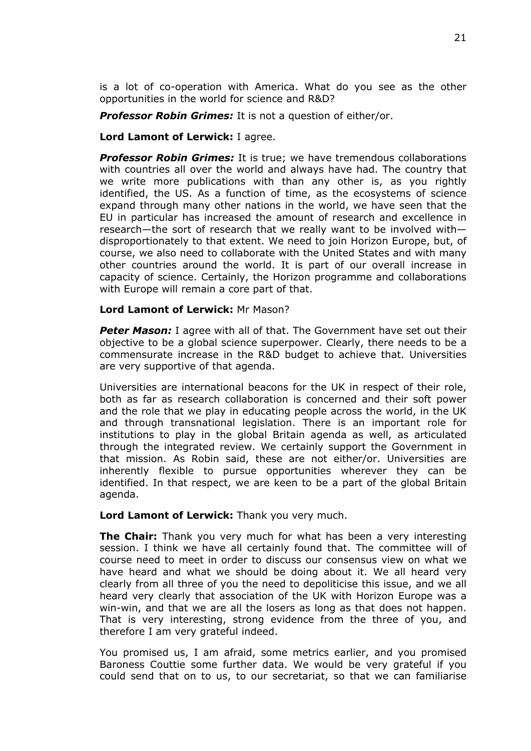is a lot of co-operation with America. What do you see as the other opportunities in the world for science and R&D?

*Professor Robin Grimes:* It is not a question of either/or.

## **Lord Lamont of Lerwick:** I agree.

*Professor Robin Grimes:* It is true; we have tremendous collaborations with countries all over the world and always have had. The country that we write more publications with than any other is, as you rightly identified, the US. As a function of time, as the ecosystems of science expand through many other nations in the world, we have seen that the EU in particular has increased the amount of research and excellence in research—the sort of research that we really want to be involved with disproportionately to that extent. We need to join Horizon Europe, but, of course, we also need to collaborate with the United States and with many other countries around the world. It is part of our overall increase in capacity of science. Certainly, the Horizon programme and collaborations with Europe will remain a core part of that.

### **Lord Lamont of Lerwick:** Mr Mason?

*Peter Mason:* I agree with all of that. The Government have set out their objective to be a global science superpower. Clearly, there needs to be a commensurate increase in the R&D budget to achieve that. Universities are very supportive of that agenda.

Universities are international beacons for the UK in respect of their role, both as far as research collaboration is concerned and their soft power and the role that we play in educating people across the world, in the UK and through transnational legislation. There is an important role for institutions to play in the global Britain agenda as well, as articulated through the integrated review. We certainly support the Government in that mission. As Robin said, these are not either/or. Universities are inherently flexible to pursue opportunities wherever they can be identified. In that respect, we are keen to be a part of the global Britain agenda.

# **Lord Lamont of Lerwick:** Thank you very much.

**The Chair:** Thank you very much for what has been a very interesting session. I think we have all certainly found that. The committee will of course need to meet in order to discuss our consensus view on what we have heard and what we should be doing about it. We all heard very clearly from all three of you the need to depoliticise this issue, and we all heard very clearly that association of the UK with Horizon Europe was a win-win, and that we are all the losers as long as that does not happen. That is very interesting, strong evidence from the three of you, and therefore I am very grateful indeed.

You promised us, I am afraid, some metrics earlier, and you promised Baroness Couttie some further data. We would be very grateful if you could send that on to us, to our secretariat, so that we can familiarise